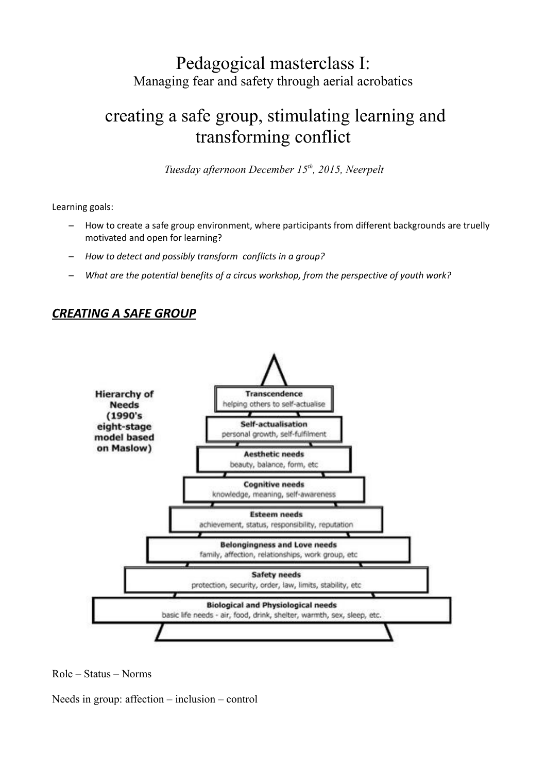# Pedagogical masterclass I: Managing fear and safety through aerial acrobatics

# creating a safe group, stimulating learning and transforming conflict

 *Tuesday afternoon December 15th, 2015, Neerpelt*

Learning goals:

- How to create a safe group environment, where participants from different backgrounds are truelly motivated and open for learning?
- *How to detect and possibly transform conflicts in a group?*
- *What are the potential benefits of a circus workshop, from the perspective of youth work?*

### *CREATING A SAFE GROUP*



Role – Status – Norms

Needs in group: affection – inclusion – control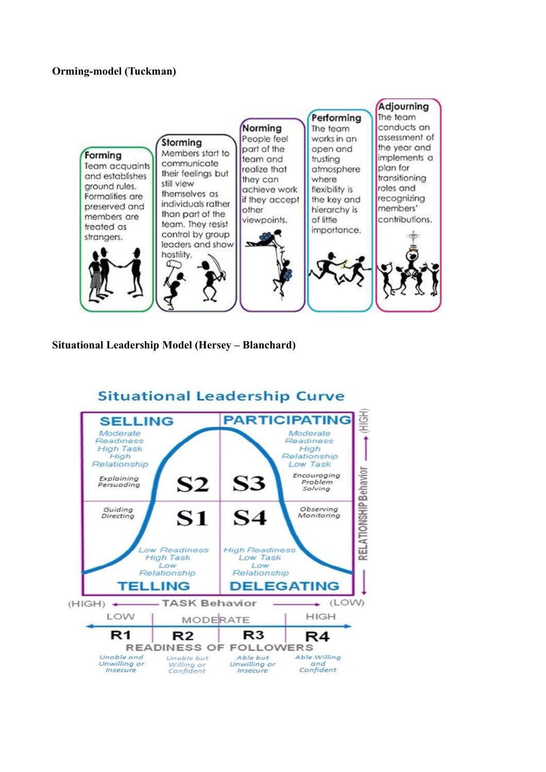### **Orming-model (Tuckman)**



**Situational Leadership Model (Hersey – Blanchard)**



## **Situational Leadership Curve**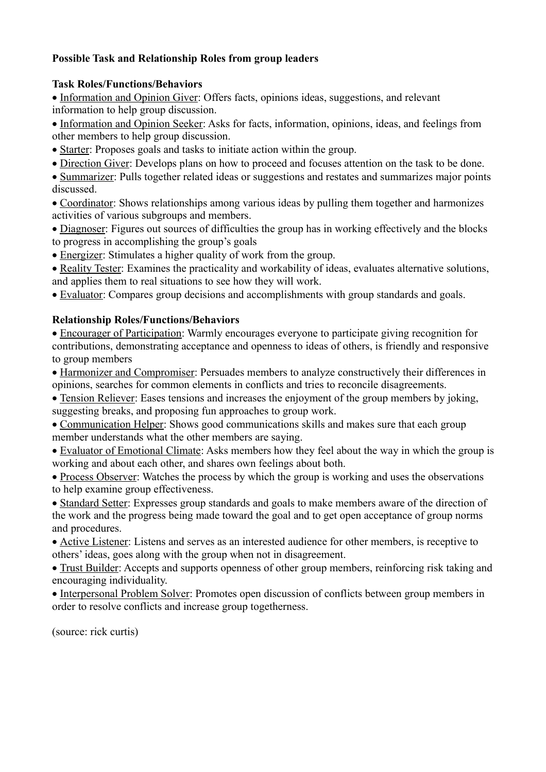### **Possible Task and Relationship Roles from group leaders**

### **Task Roles/Functions/Behaviors**

· Information and Opinion Giver: Offers facts, opinions ideas, suggestions, and relevant information to help group discussion.

· Information and Opinion Seeker: Asks for facts, information, opinions, ideas, and feelings from other members to help group discussion.

- Starter: Proposes goals and tasks to initiate action within the group.
- · Direction Giver: Develops plans on how to proceed and focuses attention on the task to be done.

· Summarizer: Pulls together related ideas or suggestions and restates and summarizes major points discussed.

· Coordinator: Shows relationships among various ideas by pulling them together and harmonizes activities of various subgroups and members.

• Diagnoser: Figures out sources of difficulties the group has in working effectively and the blocks to progress in accomplishing the group's goals

• Energizer: Stimulates a higher quality of work from the group.

· Reality Tester: Examines the practicality and workability of ideas, evaluates alternative solutions, and applies them to real situations to see how they will work.

· Evaluator: Compares group decisions and accomplishments with group standards and goals.

#### **Relationship Roles/Functions/Behaviors**

· Encourager of Participation: Warmly encourages everyone to participate giving recognition for contributions, demonstrating acceptance and openness to ideas of others, is friendly and responsive to group members

· Harmonizer and Compromiser: Persuades members to analyze constructively their differences in opinions, searches for common elements in conflicts and tries to reconcile disagreements.

· Tension Reliever: Eases tensions and increases the enjoyment of the group members by joking, suggesting breaks, and proposing fun approaches to group work.

• Communication Helper: Shows good communications skills and makes sure that each group member understands what the other members are saying.

· Evaluator of Emotional Climate: Asks members how they feel about the way in which the group is working and about each other, and shares own feelings about both.

• Process Observer: Watches the process by which the group is working and uses the observations to help examine group effectiveness.

· Standard Setter: Expresses group standards and goals to make members aware of the direction of the work and the progress being made toward the goal and to get open acceptance of group norms and procedures.

· Active Listener: Listens and serves as an interested audience for other members, is receptive to others' ideas, goes along with the group when not in disagreement.

· Trust Builder: Accepts and supports openness of other group members, reinforcing risk taking and encouraging individuality.

· Interpersonal Problem Solver: Promotes open discussion of conflicts between group members in order to resolve conflicts and increase group togetherness.

(source: rick curtis)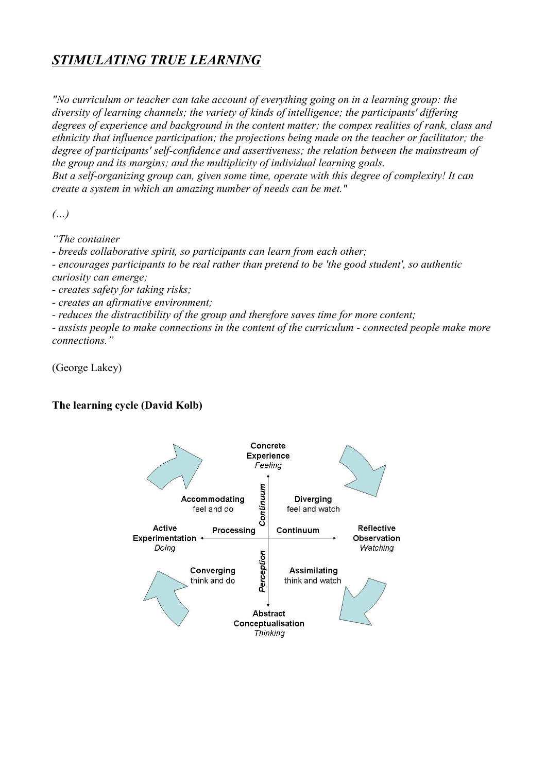# *STIMULATING TRUE LEARNING*

*"No curriculum or teacher can take account of everything going on in a learning group: the diversity of learning channels; the variety of kinds of intelligence; the participants' differing degrees of experience and background in the content matter; the compex realities of rank, class and ethnicity that influence participation; the projections being made on the teacher or facilitator; the degree of participants' self-confidence and assertiveness; the relation between the mainstream of the group and its margins; and the multiplicity of individual learning goals. But a self-organizing group can, given some time, operate with this degree of complexity! It can create a system in which an amazing number of needs can be met."*

*(…)* 

*"The container*

*- breeds collaborative spirit, so participants can learn from each other;*

*- encourages participants to be real rather than pretend to be 'the good student', so authentic curiosity can emerge;*

*- creates safety for taking risks;*

*- creates an afirmative environment;*

*- reduces the distractibility of the group and therefore saves time for more content;*

*- assists people to make connections in the content of the curriculum - connected people make more connections."*

(George Lakey)

### **The learning cycle (David Kolb)**

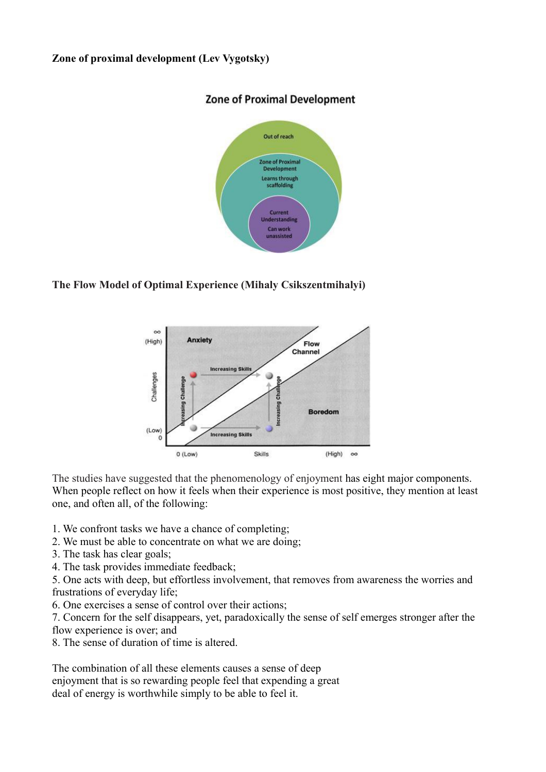

### **Zone of Proximal Development**

### **The Flow Model of Optimal Experience (Mihaly Csikszentmihalyi)**



The studies have suggested that the phenomenology of enjoyment has eight major components. When people reflect on how it feels when their experience is most positive, they mention at least one, and often all, of the following:

1. We confront tasks we have a chance of completing;

2. We must be able to concentrate on what we are doing;

- 3. The task has clear goals;
- 4. The task provides immediate feedback;

5. One acts with deep, but effortless involvement, that removes from awareness the worries and frustrations of everyday life;

6. One exercises a sense of control over their actions;

7. Concern for the self disappears, yet, paradoxically the sense of self emerges stronger after the flow experience is over; and

8. The sense of duration of time is altered.

The combination of all these elements causes a sense of deep enjoyment that is so rewarding people feel that expending a great deal of energy is worthwhile simply to be able to feel it.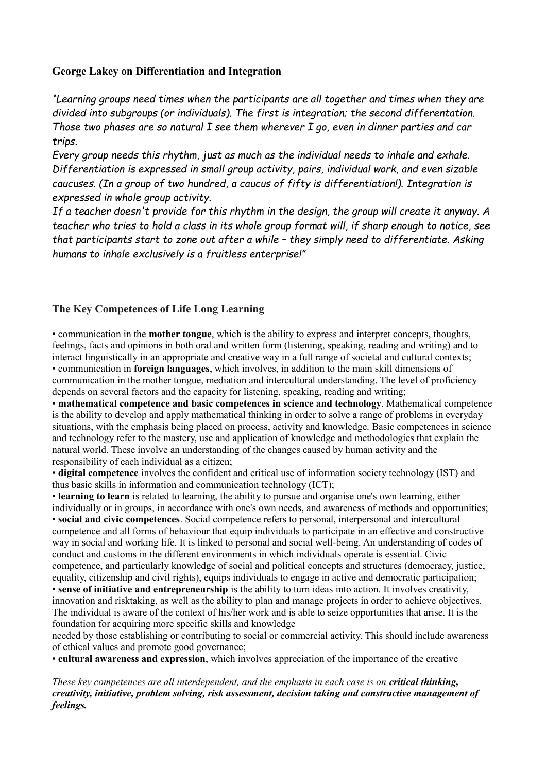### **George Lakey on Differentiation and Integration**

*"Learning groups need times when the participants are all together and times when they are divided into subgroups (or individuals). The first is integration; the second differentation. Those two phases are so natural I see them wherever I go, even in dinner parties and car trips.*

*Every group needs this rhythm, just as much as the individual needs to inhale and exhale. Differentiation is expressed in small group activity, pairs, individual work, and even sizable caucuses. (In a group of two hundred, a caucus of fifty is differentiation!). Integration is expressed in whole group activity.*

*If a teacher doesn't provide for this rhythm in the design, the group will create it anyway. A teacher who tries to hold a class in its whole group format will, if sharp enough to notice, see that participants start to zone out after a while – they simply need to differentiate. Asking humans to inhale exclusively is a fruitless enterprise!"*

#### **The Key Competences of Life Long Learning**

• communication in the **mother tongue**, which is the ability to express and interpret concepts, thoughts, feelings, facts and opinions in both oral and written form (listening, speaking, reading and writing) and to interact linguistically in an appropriate and creative way in a full range of societal and cultural contexts; • communication in **foreign languages**, which involves, in addition to the main skill dimensions of communication in the mother tongue, mediation and intercultural understanding. The level of proficiency depends on several factors and the capacity for listening, speaking, reading and writing;

• **mathematical competence and basic competences in science and technology**. Mathematical competence is the ability to develop and apply mathematical thinking in order to solve a range of problems in everyday situations, with the emphasis being placed on process, activity and knowledge. Basic competences in science and technology refer to the mastery, use and application of knowledge and methodologies that explain the natural world. These involve an understanding of the changes caused by human activity and the responsibility of each individual as a citizen;

• **digital competence** involves the confident and critical use of information society technology (IST) and thus basic skills in information and communication technology (ICT);

• **learning to learn** is related to learning, the ability to pursue and organise one's own learning, either individually or in groups, in accordance with one's own needs, and awareness of methods and opportunities; • **social and civic competences**. Social competence refers to personal, interpersonal and intercultural competence and all forms of behaviour that equip individuals to participate in an effective and constructive way in social and working life. It is linked to personal and social well-being. An understanding of codes of conduct and customs in the different environments in which individuals operate is essential. Civic competence, and particularly knowledge of social and political concepts and structures (democracy, justice, equality, citizenship and civil rights), equips individuals to engage in active and democratic participation;

• **sense of initiative and entrepreneurship** is the ability to turn ideas into action. It involves creativity, innovation and risktaking, as well as the ability to plan and manage projects in order to achieve objectives. The individual is aware of the context of his/her work and is able to seize opportunities that arise. It is the foundation for acquiring more specific skills and knowledge

needed by those establishing or contributing to social or commercial activity. This should include awareness of ethical values and promote good governance;

• **cultural awareness and expression**, which involves appreciation of the importance of the creative

*These key competences are all interdependent, and the emphasis in each case is on critical thinking, creativity, initiative, problem solving, risk assessment, decision taking and constructive management of feelings.*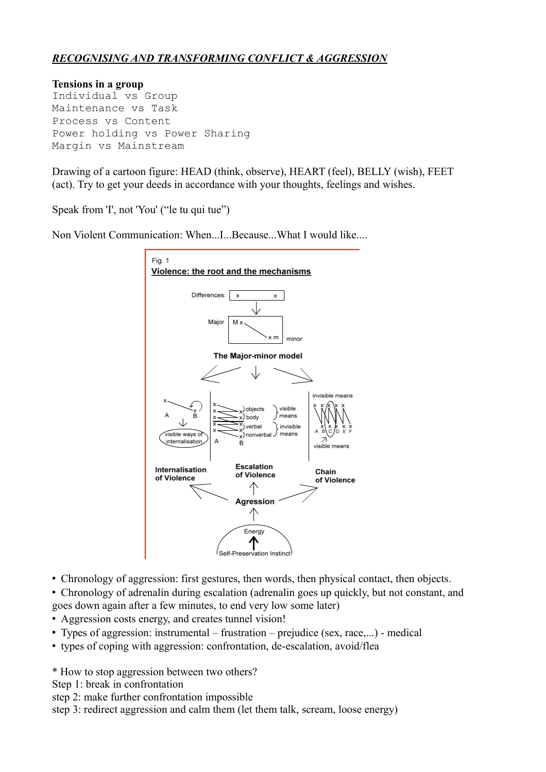### *RECOGNISING AND TRANSFORMING CONFLICT & AGGRESSION*

**Tensions in a group** Individual vs Group Maintenance vs Task Process vs Content Power holding vs Power Sharing Margin vs Mainstream

Drawing of a cartoon figure: HEAD (think, observe), HEART (feel), BELLY (wish), FEET (act). Try to get your deeds in accordance with your thoughts, feelings and wishes.

Speak from 'I', not 'You' ("le tu qui tue")

Non Violent Communication: When...I...Because...What I would like....



- Chronology of aggression: first gestures, then words, then physical contact, then objects.
- Chronology of adrenalin during escalation (adrenalin goes up quickly, but not constant, and goes down again after a few minutes, to end very low some later)
- Aggression costs energy, and creates tunnel vision!
- Types of aggression: instrumental frustration prejudice (sex, race,...) medical
- types of coping with aggression: confrontation, de-escalation, avoid/flea

\* How to stop aggression between two others?

Step 1: break in confrontation

step 2: make further confrontation impossible

step 3: redirect aggression and calm them (let them talk, scream, loose energy)